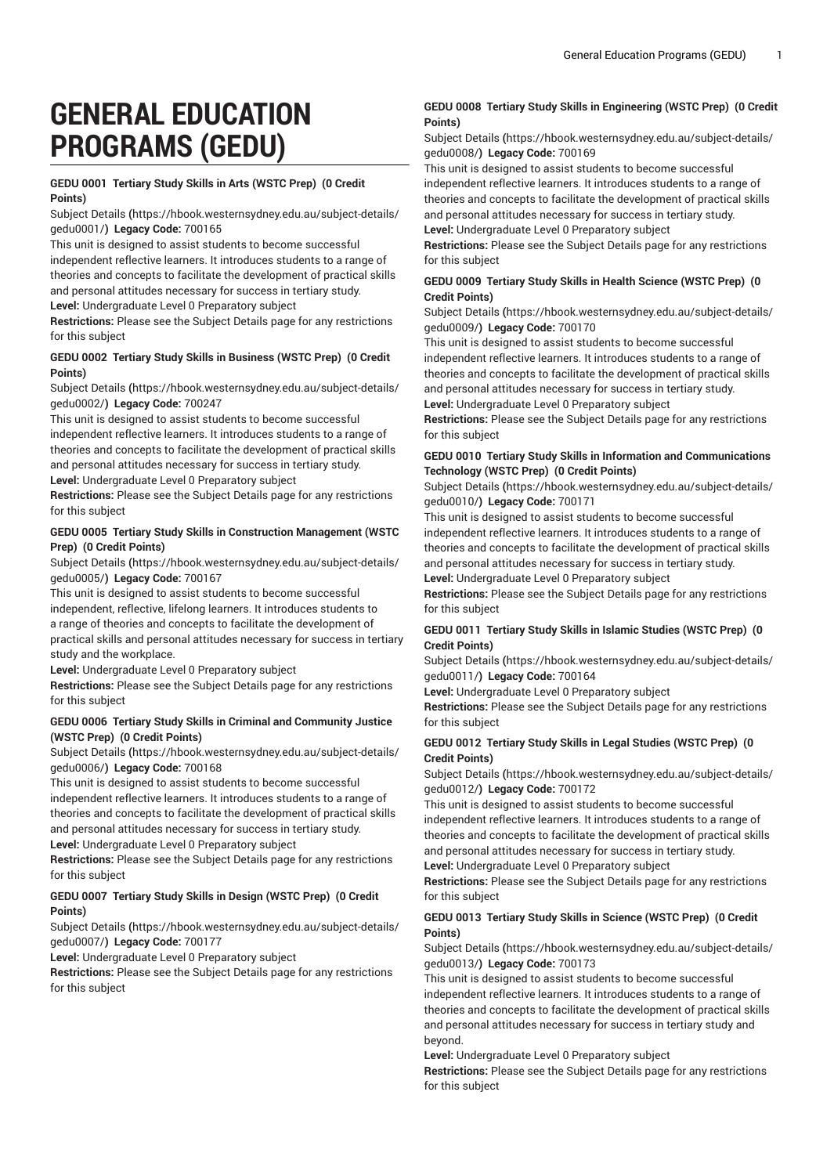# **GENERAL EDUCATION PROGRAMS (GEDU)**

#### **GEDU 0001 Tertiary Study Skills in Arts (WSTC Prep) (0 Credit Points)**

[Subject Details](https://hbook.westernsydney.edu.au/subject-details/gedu0001/) **(**[https://hbook.westernsydney.edu.au/subject-details/](https://hbook.westernsydney.edu.au/subject-details/gedu0001/) [gedu0001/](https://hbook.westernsydney.edu.au/subject-details/gedu0001/)**) Legacy Code:** 700165

This unit is designed to assist students to become successful independent reflective learners. It introduces students to a range of theories and concepts to facilitate the development of practical skills and personal attitudes necessary for success in tertiary study.

**Level:** Undergraduate Level 0 Preparatory subject

**Restrictions:** Please see the Subject Details page for any restrictions for this subject

### **GEDU 0002 Tertiary Study Skills in Business (WSTC Prep) (0 Credit Points)**

[Subject Details](https://hbook.westernsydney.edu.au/subject-details/gedu0002/) **(**[https://hbook.westernsydney.edu.au/subject-details/](https://hbook.westernsydney.edu.au/subject-details/gedu0002/) [gedu0002/](https://hbook.westernsydney.edu.au/subject-details/gedu0002/)**) Legacy Code:** 700247

This unit is designed to assist students to become successful independent reflective learners. It introduces students to a range of theories and concepts to facilitate the development of practical skills and personal attitudes necessary for success in tertiary study. **Level:** Undergraduate Level 0 Preparatory subject

**Restrictions:** Please see the Subject Details page for any restrictions for this subject

#### **GEDU 0005 Tertiary Study Skills in Construction Management (WSTC Prep) (0 Credit Points)**

[Subject Details](https://hbook.westernsydney.edu.au/subject-details/gedu0005/) **(**[https://hbook.westernsydney.edu.au/subject-details/](https://hbook.westernsydney.edu.au/subject-details/gedu0005/) [gedu0005/](https://hbook.westernsydney.edu.au/subject-details/gedu0005/)**) Legacy Code:** 700167

This unit is designed to assist students to become successful independent, reflective, lifelong learners. It introduces students to a range of theories and concepts to facilitate the development of practical skills and personal attitudes necessary for success in tertiary study and the workplace.

**Level:** Undergraduate Level 0 Preparatory subject

**Restrictions:** Please see the Subject Details page for any restrictions for this subject

### **GEDU 0006 Tertiary Study Skills in Criminal and Community Justice (WSTC Prep) (0 Credit Points)**

[Subject Details](https://hbook.westernsydney.edu.au/subject-details/gedu0006/) **(**[https://hbook.westernsydney.edu.au/subject-details/](https://hbook.westernsydney.edu.au/subject-details/gedu0006/) [gedu0006/](https://hbook.westernsydney.edu.au/subject-details/gedu0006/)**) Legacy Code:** 700168

This unit is designed to assist students to become successful independent reflective learners. It introduces students to a range of theories and concepts to facilitate the development of practical skills and personal attitudes necessary for success in tertiary study.

**Level:** Undergraduate Level 0 Preparatory subject

**Restrictions:** Please see the Subject Details page for any restrictions for this subject

### **GEDU 0007 Tertiary Study Skills in Design (WSTC Prep) (0 Credit Points)**

[Subject Details](https://hbook.westernsydney.edu.au/subject-details/gedu0007/) **(**[https://hbook.westernsydney.edu.au/subject-details/](https://hbook.westernsydney.edu.au/subject-details/gedu0007/) [gedu0007/](https://hbook.westernsydney.edu.au/subject-details/gedu0007/)**) Legacy Code:** 700177

**Level:** Undergraduate Level 0 Preparatory subject

**Restrictions:** Please see the Subject Details page for any restrictions for this subject

#### **GEDU 0008 Tertiary Study Skills in Engineering (WSTC Prep) (0 Credit Points)**

[Subject Details](https://hbook.westernsydney.edu.au/subject-details/gedu0008/) **(**[https://hbook.westernsydney.edu.au/subject-details/](https://hbook.westernsydney.edu.au/subject-details/gedu0008/) [gedu0008/](https://hbook.westernsydney.edu.au/subject-details/gedu0008/)**) Legacy Code:** 700169

This unit is designed to assist students to become successful independent reflective learners. It introduces students to a range of theories and concepts to facilitate the development of practical skills and personal attitudes necessary for success in tertiary study.

**Level:** Undergraduate Level 0 Preparatory subject

**Restrictions:** Please see the Subject Details page for any restrictions for this subject

#### **GEDU 0009 Tertiary Study Skills in Health Science (WSTC Prep) (0 Credit Points)**

[Subject Details](https://hbook.westernsydney.edu.au/subject-details/gedu0009/) **(**[https://hbook.westernsydney.edu.au/subject-details/](https://hbook.westernsydney.edu.au/subject-details/gedu0009/) [gedu0009/](https://hbook.westernsydney.edu.au/subject-details/gedu0009/)**) Legacy Code:** 700170

This unit is designed to assist students to become successful independent reflective learners. It introduces students to a range of theories and concepts to facilitate the development of practical skills and personal attitudes necessary for success in tertiary study. **Level:** Undergraduate Level 0 Preparatory subject

**Restrictions:** Please see the Subject Details page for any restrictions for this subject

## **GEDU 0010 Tertiary Study Skills in Information and Communications Technology (WSTC Prep) (0 Credit Points)**

[Subject Details](https://hbook.westernsydney.edu.au/subject-details/gedu0010/) **(**[https://hbook.westernsydney.edu.au/subject-details/](https://hbook.westernsydney.edu.au/subject-details/gedu0010/) [gedu0010/](https://hbook.westernsydney.edu.au/subject-details/gedu0010/)**) Legacy Code:** 700171

This unit is designed to assist students to become successful independent reflective learners. It introduces students to a range of theories and concepts to facilitate the development of practical skills and personal attitudes necessary for success in tertiary study. **Level:** Undergraduate Level 0 Preparatory subject

**Restrictions:** Please see the Subject Details page for any restrictions for this subject

#### **GEDU 0011 Tertiary Study Skills in Islamic Studies (WSTC Prep) (0 Credit Points)**

[Subject Details](https://hbook.westernsydney.edu.au/subject-details/gedu0011/) **(**[https://hbook.westernsydney.edu.au/subject-details/](https://hbook.westernsydney.edu.au/subject-details/gedu0011/) [gedu0011/](https://hbook.westernsydney.edu.au/subject-details/gedu0011/)**) Legacy Code:** 700164

**Level:** Undergraduate Level 0 Preparatory subject

**Restrictions:** Please see the Subject Details page for any restrictions for this subject

### **GEDU 0012 Tertiary Study Skills in Legal Studies (WSTC Prep) (0 Credit Points)**

[Subject Details](https://hbook.westernsydney.edu.au/subject-details/gedu0012/) **(**[https://hbook.westernsydney.edu.au/subject-details/](https://hbook.westernsydney.edu.au/subject-details/gedu0012/) [gedu0012/](https://hbook.westernsydney.edu.au/subject-details/gedu0012/)**) Legacy Code:** 700172

This unit is designed to assist students to become successful independent reflective learners. It introduces students to a range of theories and concepts to facilitate the development of practical skills and personal attitudes necessary for success in tertiary study. **Level:** Undergraduate Level 0 Preparatory subject

**Restrictions:** Please see the Subject Details page for any restrictions for this subject

## **GEDU 0013 Tertiary Study Skills in Science (WSTC Prep) (0 Credit Points)**

[Subject Details](https://hbook.westernsydney.edu.au/subject-details/gedu0013/) **(**[https://hbook.westernsydney.edu.au/subject-details/](https://hbook.westernsydney.edu.au/subject-details/gedu0013/) [gedu0013/](https://hbook.westernsydney.edu.au/subject-details/gedu0013/)**) Legacy Code:** 700173

This unit is designed to assist students to become successful independent reflective learners. It introduces students to a range of theories and concepts to facilitate the development of practical skills and personal attitudes necessary for success in tertiary study and beyond.

**Level:** Undergraduate Level 0 Preparatory subject

**Restrictions:** Please see the Subject Details page for any restrictions for this subject